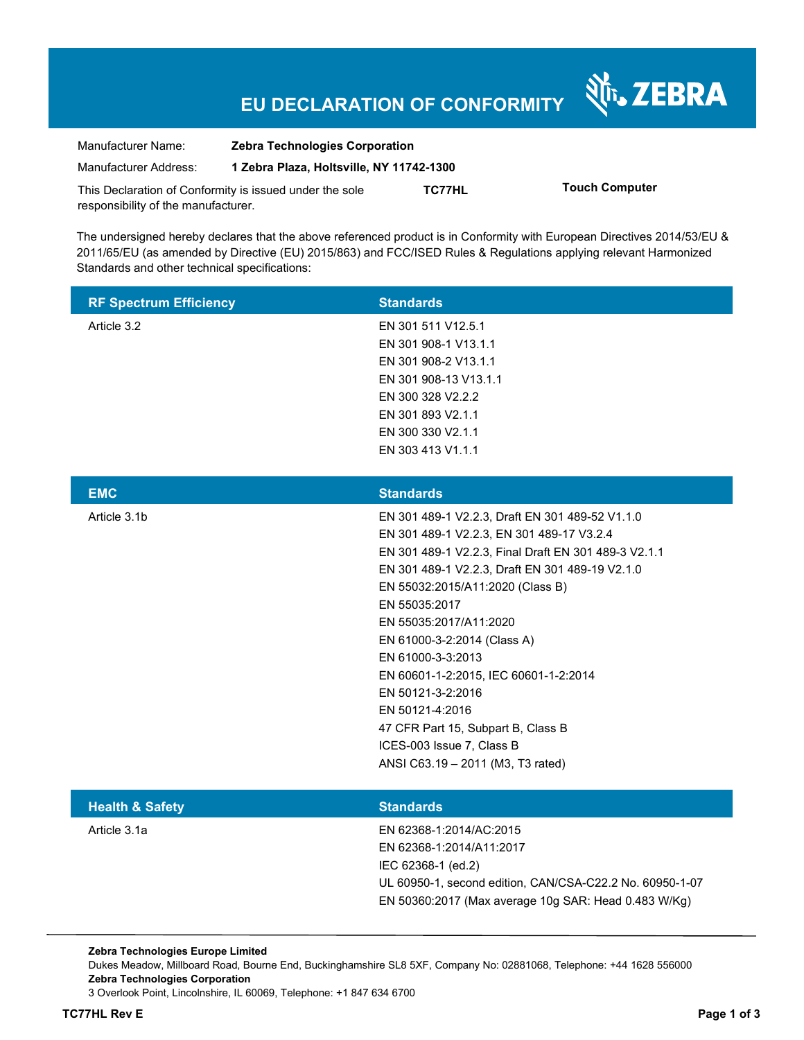# **EU DECLARATION OF CONFORMITY**

Nr. ZEBRA

| Manufacturer Name:                                      | <b>Zebra Technologies Corporation</b>    |        |                       |
|---------------------------------------------------------|------------------------------------------|--------|-----------------------|
| Manufacturer Address:                                   | 1 Zebra Plaza, Holtsville, NY 11742-1300 |        |                       |
| This Declaration of Conformity is issued under the sole |                                          | TC77HL | <b>Touch Computer</b> |
| responsibility of the manufacturer.                     |                                          |        |                       |

The undersigned hereby declares that the above referenced product is in Conformity with European Directives 2014/53/EU & 2011/65/EU (as amended by Directive (EU) 2015/863) and FCC/ISED Rules & Regulations applying relevant Harmonized Standards and other technical specifications:

| <b>RF Spectrum Efficiency</b> | <b>Standards</b>      |
|-------------------------------|-----------------------|
| Article 3.2                   | EN 301 511 V12.5.1    |
|                               | EN 301 908-1 V13.1.1  |
|                               | EN 301 908-2 V13.1.1  |
|                               | EN 301 908-13 V13.1.1 |
|                               | EN 300 328 V2.2.2     |
|                               | EN 301 893 V2.1.1     |
|                               | EN 300 330 V2.1.1     |
|                               | EN 303 413 V1.1.1     |
|                               |                       |

| <b>EMC</b>   | <b>Standards</b>                                     |
|--------------|------------------------------------------------------|
| Article 3.1b | EN 301 489-1 V2.2.3, Draft EN 301 489-52 V1.1.0      |
|              | EN 301 489-1 V2.2.3, EN 301 489-17 V3.2.4            |
|              | EN 301 489-1 V2.2.3, Final Draft EN 301 489-3 V2.1.1 |
|              | EN 301 489-1 V2.2.3, Draft EN 301 489-19 V2.1.0      |
|              | EN 55032:2015/A11:2020 (Class B)                     |
|              | EN 55035:2017                                        |
|              | EN 55035:2017/A11:2020                               |
|              | EN 61000-3-2:2014 (Class A)                          |
|              | EN 61000-3-3:2013                                    |
|              | EN 60601-1-2:2015, IEC 60601-1-2:2014                |
|              | EN 50121-3-2:2016                                    |
|              | EN 50121-4:2016                                      |
|              | 47 CFR Part 15, Subpart B, Class B                   |
|              | ICES-003 Issue 7, Class B                            |
|              | ANSI C63.19 - 2011 (M3, T3 rated)                    |
|              |                                                      |

| <b>Health &amp; Safety</b> | <b>Standards</b>                                         |
|----------------------------|----------------------------------------------------------|
| Article 3.1a               | EN 62368-1:2014/AC:2015                                  |
|                            | EN 62368-1:2014/A11:2017                                 |
|                            | IEC 62368-1 (ed.2)                                       |
|                            | UL 60950-1, second edition, CAN/CSA-C22.2 No. 60950-1-07 |
|                            | EN 50360:2017 (Max average 10g SAR: Head 0.483 W/Kg)     |
|                            |                                                          |

**Zebra Technologies Europe Limited**  Dukes Meadow, Millboard Road, Bourne End, Buckinghamshire SL8 5XF, Company No: 02881068, Telephone: +44 1628 556000 **Zebra Technologies Corporation**  3 Overlook Point, Lincolnshire, IL 60069, Telephone: +1 847 634 6700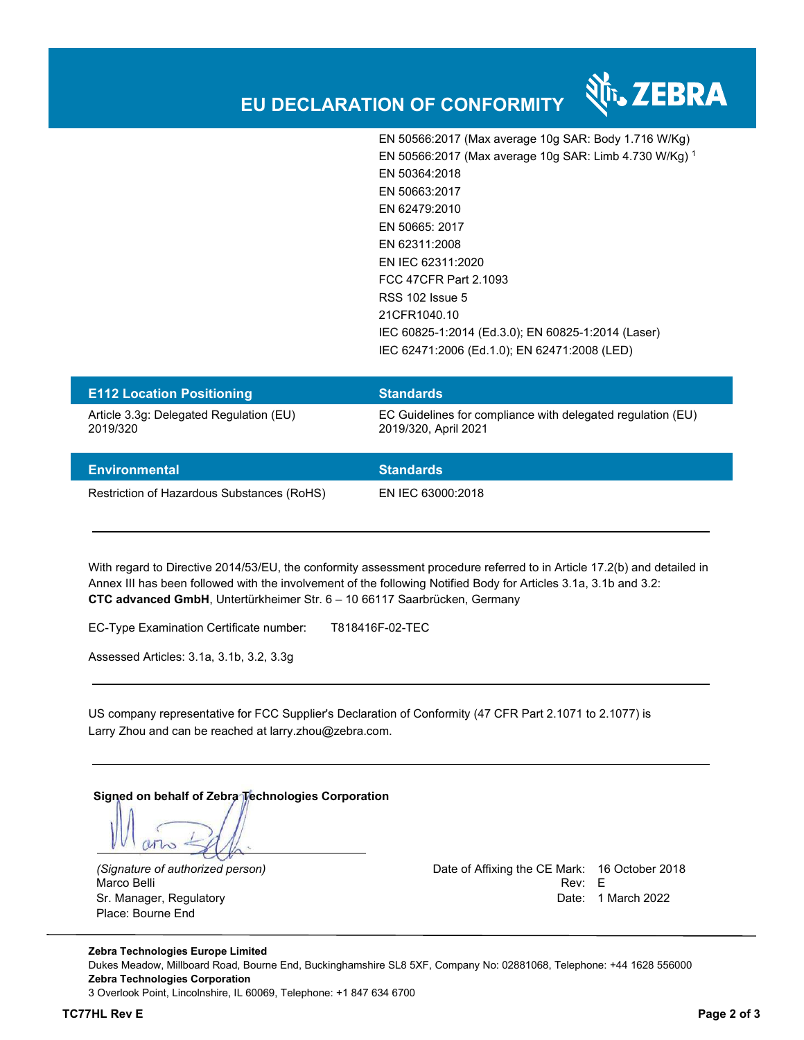

EN 50566:2017 (Max average 10g SAR: Body 1.716 W/Kg) EN 50566:2017 (Max average 10g SAR: Limb 4.730 W/Kg) <sup>1</sup> EN 50364:2018 EN 50663:2017 EN 62479:2010 EN 50665: 2017 EN 62311:2008 EN IEC 62311:2020 FCC 47CFR Part 2.1093 RSS 102 Issue 5 21CFR1040.10 IEC 60825-1:2014 (Ed.3.0); EN 60825-1:2014 (Laser) IEC 62471:2006 (Ed.1.0); EN 62471:2008 (LED)

| <b>E112 Location Positioning</b>        | <b>Standards</b>                                            |
|-----------------------------------------|-------------------------------------------------------------|
| Article 3.3g: Delegated Regulation (EU) | EC Guidelines for compliance with delegated regulation (EU) |
| 2019/320                                | 2019/320, April 2021                                        |

| Environmental                              | <b>Standards</b>  |
|--------------------------------------------|-------------------|
| Restriction of Hazardous Substances (RoHS) | EN IEC 63000:2018 |

With regard to Directive 2014/53/EU, the conformity assessment procedure referred to in Article 17.2(b) and detailed in Annex III has been followed with the involvement of the following Notified Body for Articles 3.1a, 3.1b and 3.2: **CTC advanced GmbH**, Untertürkheimer Str. 6 – 10 66117 Saarbrücken, Germany

EC-Type Examination Certificate number: T818416F-02-TEC

Assessed Articles: 3.1a, 3.1b, 3.2, 3.3g

US company representative for FCC Supplier's Declaration of Conformity (47 CFR Part 2.1071 to 2.1077) is Larry Zhou and can be reached at larry.zhou@zebra.com.

**Signed on behalf of Zebra Technologies Corporation** 

who

Marco Belli Place: Bourne End

*(Signature of authorized person)* Date of Affixing the CE Mark: 16 October 2018 Sr. Manager, Regulatory Date: 1 March 2022

**Zebra Technologies Europe Limited**  Dukes Meadow, Millboard Road, Bourne End, Buckinghamshire SL8 5XF, Company No: 02881068, Telephone: +44 1628 556000 **Zebra Technologies Corporation**  3 Overlook Point, Lincolnshire, IL 60069, Telephone: +1 847 634 6700